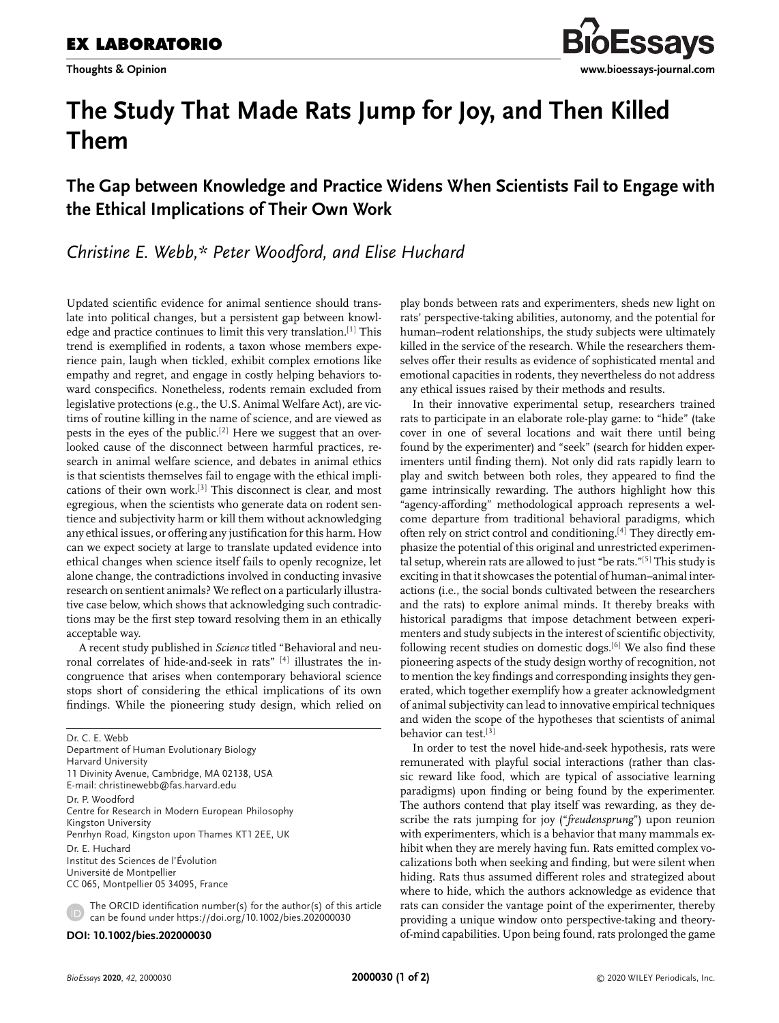

# **The Study That Made Rats Jump for Joy, and Then Killed Them**

## **The Gap between Knowledge and Practice Widens When Scientists Fail to Engage with the Ethical Implications of Their Own Work**

*Christine E. Webb,\* Peter Woodford, and Elise Huchard*

Updated scientific evidence for animal sentience should translate into political changes, but a persistent gap between knowledge and practice continues to limit this very translation.<sup>[1]</sup> This trend is exemplified in rodents, a taxon whose members experience pain, laugh when tickled, exhibit complex emotions like empathy and regret, and engage in costly helping behaviors toward conspecifics. Nonetheless, rodents remain excluded from legislative protections (e.g., the U.S. Animal Welfare Act), are victims of routine killing in the name of science, and are viewed as pests in the eyes of the public.[2] Here we suggest that an overlooked cause of the disconnect between harmful practices, research in animal welfare science, and debates in animal ethics is that scientists themselves fail to engage with the ethical implications of their own work.[3] This disconnect is clear, and most egregious, when the scientists who generate data on rodent sentience and subjectivity harm or kill them without acknowledging any ethical issues, or offering any justification for this harm. How can we expect society at large to translate updated evidence into ethical changes when science itself fails to openly recognize, let alone change, the contradictions involved in conducting invasive research on sentient animals? We reflect on a particularly illustrative case below, which shows that acknowledging such contradictions may be the first step toward resolving them in an ethically acceptable way.

A recent study published in *Science* titled "Behavioral and neuronal correlates of hide-and-seek in rats" [4] illustrates the incongruence that arises when contemporary behavioral science stops short of considering the ethical implications of its own findings. While the pioneering study design, which relied on

Dr. C. E. Webb Department of Human Evolutionary Biology Harvard University 11 Divinity Avenue, Cambridge, MA 02138, USA E-mail: christinewebb@fas.harvard.edu Dr. P. Woodford Centre for Research in Modern European Philosophy Kingston University Penrhyn Road, Kingston upon Thames KT1 2EE, UK Dr. E. Huchard Institut des Sciences de l'Évolution Université de Montpellier CC 065, Montpellier 05 34095, France

The ORCID identification number(s) for the author(s) of this article can be found under https://doi.org/10.1002/bies.202000030

**DOI: 10.1002/bies.202000030**

play bonds between rats and experimenters, sheds new light on rats' perspective-taking abilities, autonomy, and the potential for human–rodent relationships, the study subjects were ultimately killed in the service of the research. While the researchers themselves offer their results as evidence of sophisticated mental and emotional capacities in rodents, they nevertheless do not address any ethical issues raised by their methods and results.

In their innovative experimental setup, researchers trained rats to participate in an elaborate role-play game: to "hide" (take cover in one of several locations and wait there until being found by the experimenter) and "seek" (search for hidden experimenters until finding them). Not only did rats rapidly learn to play and switch between both roles, they appeared to find the game intrinsically rewarding. The authors highlight how this "agency-affording" methodological approach represents a welcome departure from traditional behavioral paradigms, which often rely on strict control and conditioning.<sup>[4]</sup> They directly emphasize the potential of this original and unrestricted experimental setup, wherein rats are allowed to just "be rats."[5] This study is exciting in that it showcases the potential of human–animal interactions (i.e., the social bonds cultivated between the researchers and the rats) to explore animal minds. It thereby breaks with historical paradigms that impose detachment between experimenters and study subjects in the interest of scientific objectivity, following recent studies on domestic dogs.[6] We also find these pioneering aspects of the study design worthy of recognition, not to mention the key findings and corresponding insights they generated, which together exemplify how a greater acknowledgment of animal subjectivity can lead to innovative empirical techniques and widen the scope of the hypotheses that scientists of animal behavior can test.[3]

In order to test the novel hide-and-seek hypothesis, rats were remunerated with playful social interactions (rather than classic reward like food, which are typical of associative learning paradigms) upon finding or being found by the experimenter. The authors contend that play itself was rewarding, as they describe the rats jumping for joy ("*freudensprung*") upon reunion with experimenters, which is a behavior that many mammals exhibit when they are merely having fun. Rats emitted complex vocalizations both when seeking and finding, but were silent when hiding. Rats thus assumed different roles and strategized about where to hide, which the authors acknowledge as evidence that rats can consider the vantage point of the experimenter, thereby providing a unique window onto perspective-taking and theoryof-mind capabilities. Upon being found, rats prolonged the game